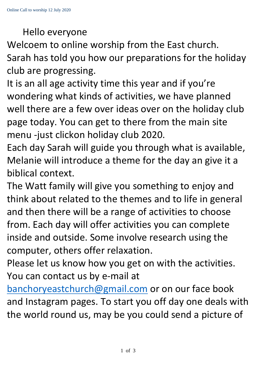## Hello everyone

Welcoem to online worship from the East church. Sarah has told you how our preparations for the holiday club are progressing.

It is an all age activity time this year and if you're wondering what kinds of activities, we have planned well there are a few over ideas over on the holiday club page today. You can get to there from the main site menu -just clickon holiday club 2020.

Each day Sarah will guide you through what is available, Melanie will introduce a theme for the day an give it a biblical context.

The Watt family will give you something to enjoy and think about related to the themes and to life in general and then there will be a range of activities to choose from. Each day will offer activities you can complete inside and outside. Some involve research using the computer, others offer relaxation.

Please let us know how you get on with the activities. You can contact us by e-mail at

[banchoryeastchurch@gmail.com](mailto:banchoryeastchurch@gmail.com) or on our face book and Instagram pages. To start you off day one deals with the world round us, may be you could send a picture of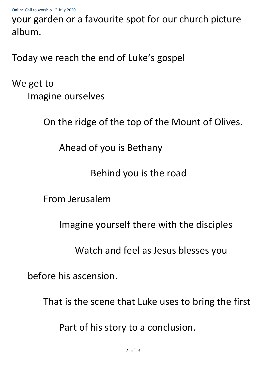your garden or a favourite spot for our church picture album.

Today we reach the end of Luke's gospel

We get to Imagine ourselves

On the ridge of the top of the Mount of Olives.

Ahead of you is Bethany

Behind you is the road

From Jerusalem

Imagine yourself there with the disciples

Watch and feel as Jesus blesses you

before his ascension.

That is the scene that Luke uses to bring the first

Part of his story to a conclusion.